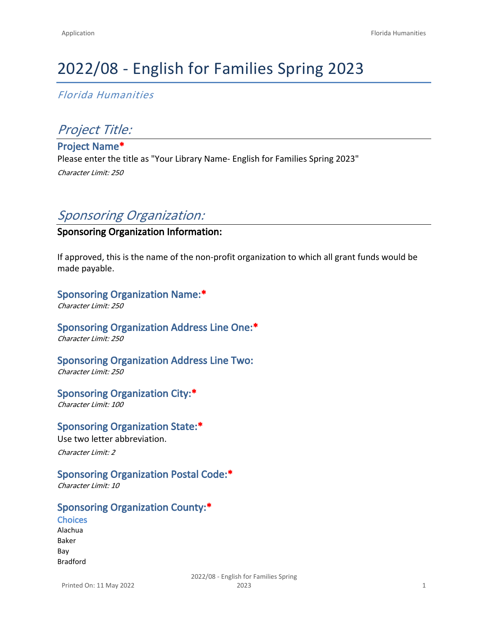# 2022/08 - English for Families Spring 2023

*Florida Humanities*

# *Project Title:*

**Project Name\*** Please enter the title as "Your Library Name- English for Families Spring 2023" *Character Limit: 250*

# *Sponsoring Organization:*

## **Sponsoring Organization Information:**

If approved, this is the name of the non-profit organization to which all grant funds would be made payable.

# **Sponsoring Organization Name:\***

*Character Limit: 250*

# **Sponsoring Organization Address Line One:\***

*Character Limit: 250*

# **Sponsoring Organization Address Line Two:**

*Character Limit: 250*

#### **Sponsoring Organization City:\***

*Character Limit: 100*

#### **Sponsoring Organization State:\***

Use two letter abbreviation. *Character Limit: 2*

# **Sponsoring Organization Postal Code:\***

*Character Limit: 10*

# **Sponsoring Organization County:\***

**Choices** Alachua Baker Bay Bradford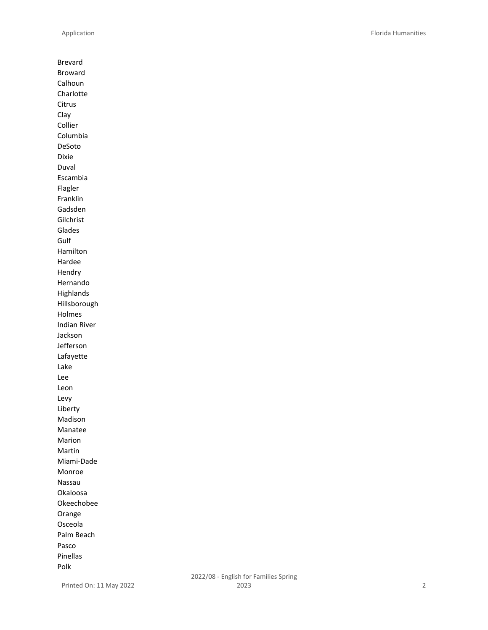Brevard Broward Calhoun Charlotte Citrus Clay Collier Columbia DeSoto Dixie Duval Escambia Flagler Franklin Gadsden Gilchrist Glades Gulf Hamilton Hardee Hendry Hernando Highlands Hillsborough Holmes Indian River Jackson Jefferson Lafayette Lake Lee Leon Levy Liberty Madison Manatee Marion Martin Miami-Dade Monroe Nassau Okaloosa Okeechobee Orange Osceola Palm Beach Pasco Pinellas Polk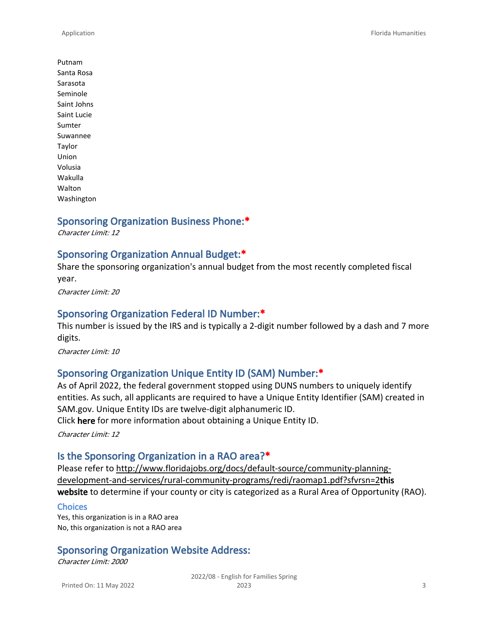Putnam Santa Rosa Sarasota Seminole Saint Johns Saint Lucie Sumter Suwannee Taylor Union Volusia Wakulla Walton Washington

# **Sponsoring Organization Business Phone:\***

*Character Limit: 12*

#### **Sponsoring Organization Annual Budget:\***

Share the sponsoring organization's annual budget from the most recently completed fiscal year.

*Character Limit: 20*

#### **Sponsoring Organization Federal ID Number:\***

This number is issued by the IRS and is typically a 2-digit number followed by a dash and 7 more digits.

*Character Limit: 10*

## **Sponsoring Organization Unique Entity ID (SAM) Number:\***

As of April 2022, the federal government stopped using DUNS numbers to uniquely identify entities. As such, all applicants are required to have a Unique Entity Identifier (SAM) created in SAM.gov. Unique Entity IDs are twelve-digit alphanumeric ID.

Click **[here](https://sam.gov/content/entity-registration)** for more information about obtaining a Unique Entity ID.

*Character Limit: 12*

#### **Is the Sponsoring Organization in a RAO area?\***

Please refer to [http://www.floridajobs.org/docs/default-source/community-planning](http://www.floridajobs.org/docs/default-source/community-planning-development-and-services/rural-community-programs/redi/raomap1.pdf?sfvrsn=2)[development-and-services/rural-community-programs/redi/raomap1.pdf?sfvrsn=2](http://www.floridajobs.org/docs/default-source/community-planning-development-and-services/rural-community-programs/redi/raomap1.pdf?sfvrsn=2)**[this](https://floridajobs.org/community-planning-and-development/rural-community-programs/rural-areas-of-opportunity)  [website](https://floridajobs.org/community-planning-and-development/rural-community-programs/rural-areas-of-opportunity)** to determine if your county or city is categorized as a Rural Area of Opportunity (RAO).

#### **Choices**

Yes, this organization is in a RAO area No, this organization is not a RAO area

#### **Sponsoring Organization Website Address:**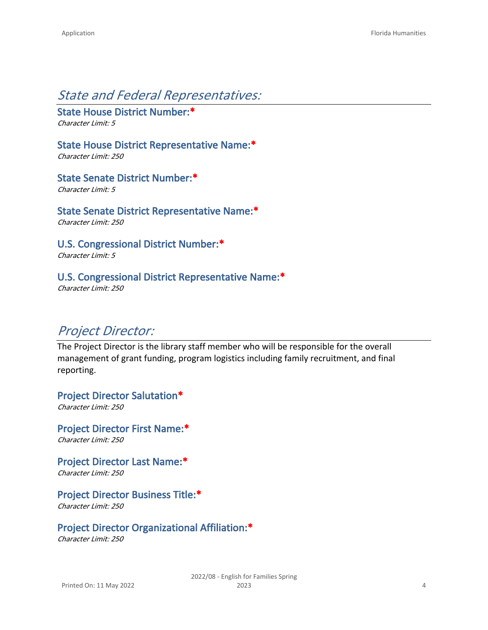# *State and Federal Representatives:*

**State House District Number:\*** *Character Limit: 5*

**State House District Representative Name:\***

*Character Limit: 250*

**State Senate District Number:\***

*Character Limit: 5*

**State Senate District Representative Name:\*** *Character Limit: 250*

**U.S. Congressional District Number:\*** *Character Limit: 5*

## **U.S. Congressional District Representative Name:\***

*Character Limit: 250*

# *Project Director:*

The Project Director is the library staff member who will be responsible for the overall management of grant funding, program logistics including family recruitment, and final reporting.

**Project Director Salutation\*** *Character Limit: 250*

**Project Director First Name:\*** *Character Limit: 250*

**Project Director Last Name:\*** *Character Limit: 250*

**Project Director Business Title:\***

*Character Limit: 250*

**Project Director Organizational Affiliation:\***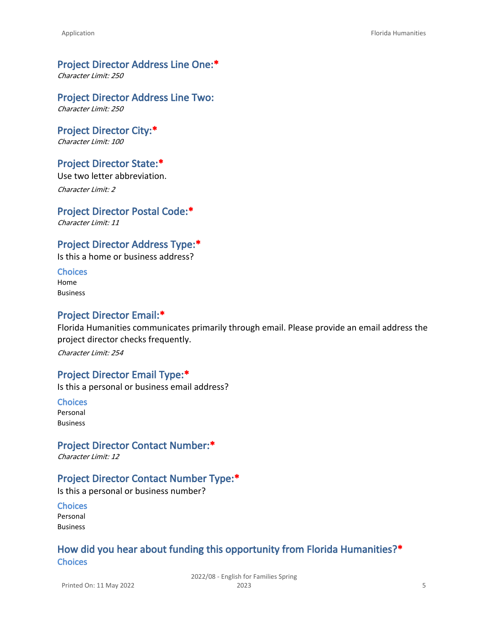#### **Project Director Address Line One:\***

*Character Limit: 250*

#### **Project Director Address Line Two:**

*Character Limit: 250*

#### **Project Director City:\***

*Character Limit: 100*

#### **Project Director State:\***

Use two letter abbreviation.

*Character Limit: 2*

### **Project Director Postal Code:\***

*Character Limit: 11*

## **Project Director Address Type:\***

Is this a home or business address?

**Choices** Home Business

#### **Project Director Email:\***

Florida Humanities communicates primarily through email. Please provide an email address the project director checks frequently.

*Character Limit: 254*

#### **Project Director Email Type:\***

Is this a personal or business email address?

**Choices** Personal Business

#### **Project Director Contact Number:\***

*Character Limit: 12*

## **Project Director Contact Number Type:\***

Is this a personal or business number?

**Choices** Personal Business

# **How did you hear about funding this opportunity from Florida Humanities?\* Choices**

Printed On: 11 May 2022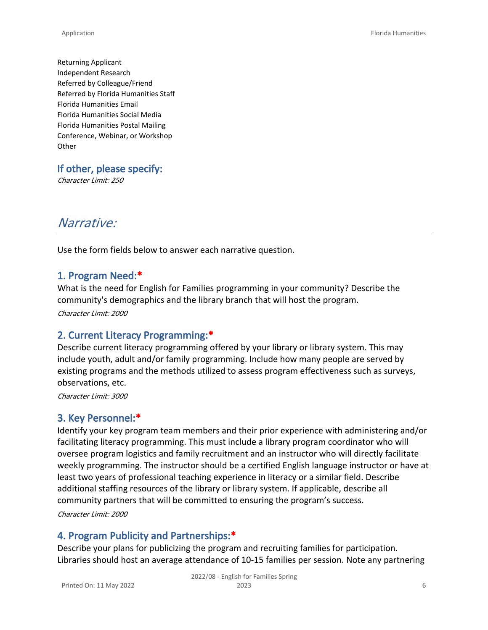Returning Applicant Independent Research Referred by Colleague/Friend Referred by Florida Humanities Staff Florida Humanities Email Florida Humanities Social Media Florida Humanities Postal Mailing Conference, Webinar, or Workshop **Other** 

**If other, please specify:**

*Character Limit: 250*

# *Narrative:*

Use the form fields below to answer each narrative question.

#### **1. Program Need:\***

What is the need for English for Families programming in your community? Describe the community's demographics and the library branch that will host the program.

*Character Limit: 2000*

## **2. Current Literacy Programming:\***

Describe current literacy programming offered by your library or library system. This may include youth, adult and/or family programming. Include how many people are served by existing programs and the methods utilized to assess program effectiveness such as surveys, observations, etc.

*Character Limit: 3000*

## **3. Key Personnel:\***

Identify your key program team members and their prior experience with administering and/or facilitating literacy programming. This must include a library program coordinator who will oversee program logistics and family recruitment and an instructor who will directly facilitate weekly programming. The instructor should be a certified English language instructor or have at least two years of professional teaching experience in literacy or a similar field. Describe additional staffing resources of the library or library system. If applicable, describe all community partners that will be committed to ensuring the program's success. *Character Limit: 2000*

## **4. Program Publicity and Partnerships:\***

Describe your plans for publicizing the program and recruiting families for participation. Libraries should host an average attendance of 10-15 families per session. Note any partnering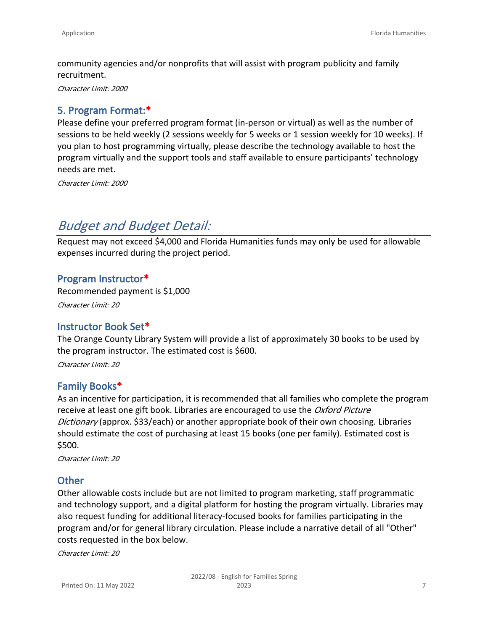community agencies and/or nonprofits that will assist with program publicity and family recruitment.

*Character Limit: 2000*

# **5. Program Format:\***

Please define your preferred program format (in-person or virtual) as well as the number of sessions to be held weekly (2 sessions weekly for 5 weeks or 1 session weekly for 10 weeks). If you plan to host programming virtually, please describe the technology available to host the program virtually and the support tools and staff available to ensure participants' technology needs are met.

*Character Limit: 2000*

# *Budget and Budget Detail:*

Request may not exceed \$4,000 and Florida Humanities funds may only be used for allowable expenses incurred during the project period.

#### **Program Instructor\***

Recommended payment is \$1,000

*Character Limit: 20*

#### **Instructor Book Set\***

The Orange County Library System will provide a list of approximately 30 books to be used by the program instructor. The estimated cost is \$600.

*Character Limit: 20*

## **Family Books\***

As an incentive for participation, it is recommended that all families who complete the program receive at least one gift book. Libraries are encouraged to use the *Oxford Picture Dictionary* (approx. \$33/each) or another appropriate book of their own choosing. Libraries should estimate the cost of purchasing at least 15 books (one per family). Estimated cost is \$500.

*Character Limit: 20*

#### **Other**

Other allowable costs include but are not limited to program marketing, staff programmatic and technology support, and a digital platform for hosting the program virtually. Libraries may also request funding for additional literacy-focused books for families participating in the program and/or for general library circulation. Please include a narrative detail of all "Other" costs requested in the box below.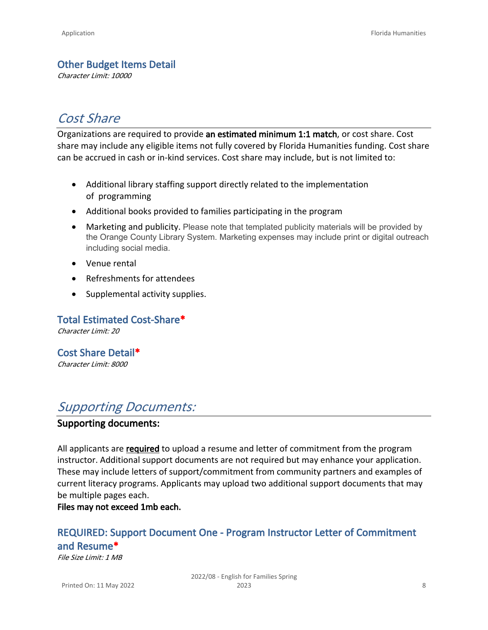# **Other Budget Items Detail**

*Character Limit: 10000*

# *Cost Share*

Organizations are required to provide **an estimated minimum 1:1 match**, or cost share. Cost share may include any eligible items not fully covered by Florida Humanities funding. Cost share can be accrued in cash or in-kind services. Cost share may include, but is not limited to:

- Additional library staffing support directly related to the implementation of programming
- Additional books provided to families participating in the program
- Marketing and publicity. Please note that templated publicity materials will be provided by the Orange County Library System. Marketing expenses may include print or digital outreach including social media.
- Venue rental
- Refreshments for attendees
- Supplemental activity supplies.

**Total Estimated Cost-Share\***

*Character Limit: 20*

**Cost Share Detail\*** *Character Limit: 8000*

# *Supporting Documents:*

## **Supporting documents:**

All applicants are **required** to upload a resume and letter of commitment from the program instructor. Additional support documents are not required but may enhance your application. These may include letters of support/commitment from community partners and examples of current literacy programs. Applicants may upload two additional support documents that may be multiple pages each.

**Files may not exceed 1mb each.** 

# **REQUIRED: Support Document One - Program Instructor Letter of Commitment and Resume\***

*File Size Limit: 1 MB*